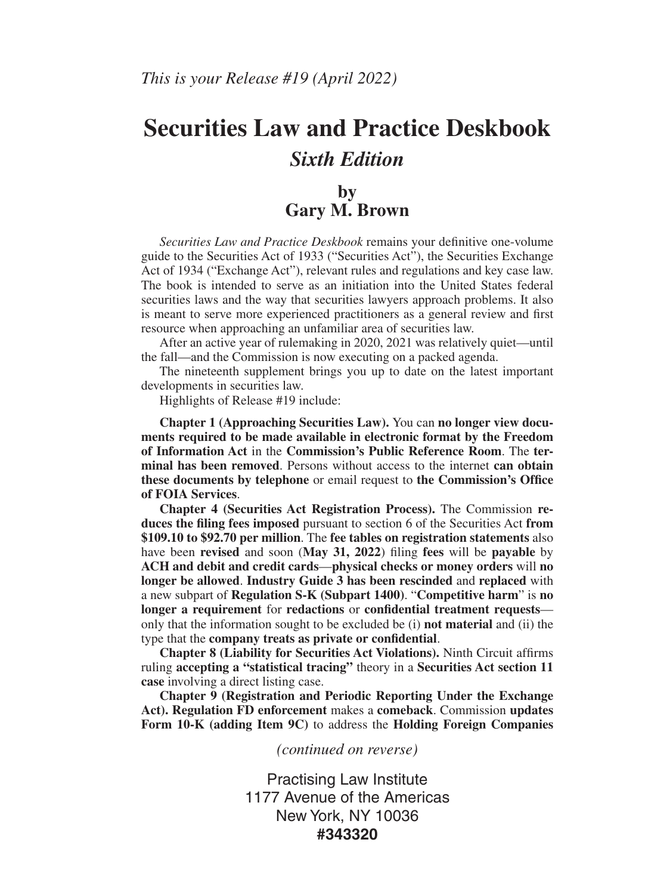# **Securities Law and Practice Deskbook** *Sixth Edition*

### **by Gary M. Brown**

*Securities Law and Practice Deskbook* remains your definitive one-volume guide to the Securities Act of 1933 ("Securities Act"), the Securities Exchange Act of 1934 ("Exchange Act"), relevant rules and regulations and key case law. The book is intended to serve as an initiation into the United States federal securities laws and the way that securities lawyers approach problems. It also is meant to serve more experienced practitioners as a general review and first resource when approaching an unfamiliar area of securities law.

After an active year of rulemaking in 2020, 2021 was relatively quiet—until the fall—and the Commission is now executing on a packed agenda.

The nineteenth supplement brings you up to date on the latest important developments in securities law.

Highlights of Release #19 include:

**Chapter 1 (Approaching Securities Law).** You can **no longer view documents required to be made available in electronic format by the Freedom of Information Act** in the **Commission's Public Reference Room**. The **terminal has been removed**. Persons without access to the internet **can obtain these documents by telephone** or email request to **the Commission's Office of FOIA Services**.

**Chapter 4 (Securities Act Registration Process).** The Commission **reduces the filing fees imposed** pursuant to section 6 of the Securities Act **from \$109.10 to \$92.70 per million**. The **fee tables on registration statements** also have been **revised** and soon (**May 31, 2022**) filing **fees** will be **payable** by **ACH and debit and credit cards**—**physical checks or money orders** will **no longer be allowed**. **Industry Guide 3 has been rescinded** and **replaced** with a new subpart of **Regulation S-K (Subpart 1400)**. "**Competitive harm**" is **no longer a requirement** for **redactions** or **confidential treatment requests** only that the information sought to be excluded be (i) **not material** and (ii) the type that the **company treats as private or confidential**.

**Chapter 8 (Liability for Securities Act Violations).** Ninth Circuit affirms ruling **accepting a "statistical tracing"** theory in a **Securities Act section 11 case** involving a direct listing case.

**Chapter 9 (Registration and Periodic Reporting Under the Exchange Act). Regulation FD enforcement** makes a **comeback**. Commission **updates Form 10-K (adding Item 9C)** to address the **Holding Foreign Companies** 

*(continued on reverse)*

Practising Law Institute 1177 Avenue of the Americas New York, NY 10036 **#343320**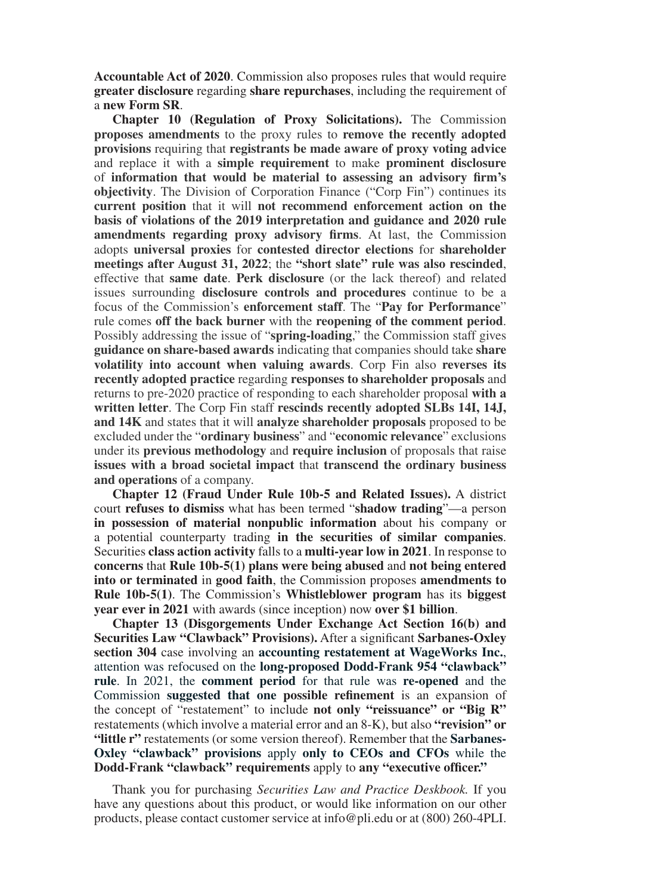**Accountable Act of 2020**. Commission also proposes rules that would require **greater disclosure** regarding **share repurchases**, including the requirement of a **new Form SR**.

**Chapter 10 (Regulation of Proxy Solicitations).** The Commission **proposes amendments** to the proxy rules to **remove the recently adopted provisions** requiring that **registrants be made aware of proxy voting advice**  and replace it with a **simple requirement** to make **prominent disclosure** of **information that would be material to assessing an advisory firm's objectivity**. The Division of Corporation Finance ("Corp Fin") continues its **current position** that it will **not recommend enforcement action on the basis of violations of the 2019 interpretation and guidance and 2020 rule amendments regarding proxy advisory firms**. At last, the Commission adopts **universal proxies** for **contested director elections** for **shareholder meetings after August 31, 2022**; the **"short slate" rule was also rescinded**, effective that **same date**. **Perk disclosure** (or the lack thereof) and related issues surrounding **disclosure controls and procedures** continue to be a focus of the Commission's **enforcement staff**. The "**Pay for Performance**" rule comes **off the back burner** with the **reopening of the comment period**. Possibly addressing the issue of "**spring-loading**," the Commission staff gives **guidance on share-based awards**indicating that companies should take **share volatility into account when valuing awards**. Corp Fin also **reverses its recently adopted practice** regarding **responses to shareholder proposals** and returns to pre-2020 practice of responding to each shareholder proposal **with a written letter**. The Corp Fin staff **rescinds recently adopted SLBs 14I, 14J, and 14K** and states that it will **analyze shareholder proposals** proposed to be excluded under the "**ordinary business**" and "**economic relevance**" exclusions under its **previous methodology** and **require inclusion** of proposals that raise **issues with a broad societal impact** that **transcend the ordinary business and operations** of a company.

**Chapter 12 (Fraud Under Rule 10b-5 and Related Issues).** A district court **refuses to dismiss** what has been termed "**shadow trading**"—a person **in possession of material nonpublic information** about his company or a potential counterparty trading **in the securities of similar companies**. Securities **class action activity** falls to a **multi-year low in 2021**. In response to **concerns** that **Rule 10b-5(1) plans were being abused** and **not being entered into or terminated** in **good faith**, the Commission proposes **amendments to Rule 10b-5(1)**. The Commission's **Whistleblower program** has its **biggest year ever in 2021** with awards (since inception) now **over \$1 billion**.

**Chapter 13 (Disgorgements Under Exchange Act Section 16(b) and Securities Law "Clawback" Provisions).** After a significant **Sarbanes-Oxley section 304** case involving an **accounting restatement at WageWorks Inc.**, attention was refocused on the **long-proposed Dodd-Frank 954 "clawback" rule**. In 2021, the **comment period** for that rule was **re-opened** and the Commission **suggested that one possible refinement** is an expansion of the concept of "restatement" to include **not only "reissuance" or "Big R"** restatements (which involve a material error and an 8-K), but also **"revision" or "little r"** restatements (or some version thereof). Remember that the **Sarbanes-Oxley "clawback" provisions** apply **only to CEOs and CFOs** while the **Dodd-Frank "clawback" requirements** apply to **any "executive officer."**

Thank you for purchasing *Securities Law and Practice Deskbook.* If you have any questions about this product, or would like information on our other products, please contact customer service at info@pli.edu or at (800) 260-4PLI.